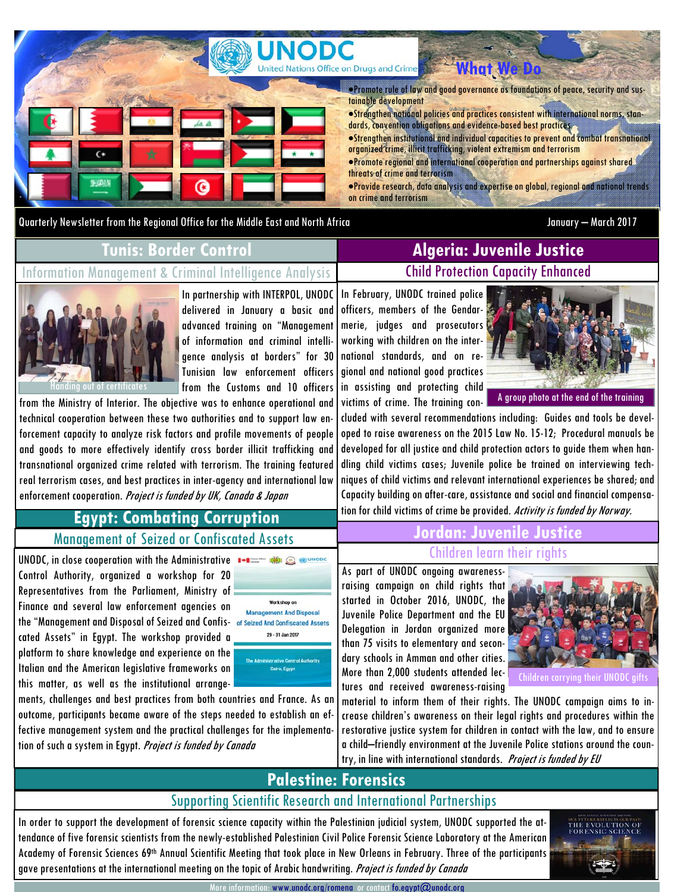

Quarterly Newsletter from the Regional Office for the Middle East and North Africa January – March 2017

#### **Tunis: Border Control**

Information Management & Criminal Intelligence Analysis

#### In partnership with INTERPOL, UNODC delivered in January a basic and advanced training on "Management of information and criminal intelligence analysis at borders" for 30 Tunisian law enforcement officers from the Customs and 10 officers

from the Ministry of Interior. The objective was to enhance operational and technical cooperation between these two authorities and to support law enforcement capacity to analyze risk factors and profile movements of people and goods to more effectively identify cross border illicit trafficking and transnational organized crime related with terrorism. The training featured real terrorism cases, and best practices in inter-agency and international law enforcement cooperation. Project is funded by UK, Canada & Japan

## Child Protection Capacity Enhanced **Algeria: Juvenile Justice**

In February, UNODC trained police officers, members of the Gendarmerie, judges and prosecutors working with children on the international standards, and on regional and national good practices in assisting and protecting child victims of crime. The training con-



A group photo at the end of the training

cluded with several recommendations including: Guides and tools be developed to raise awareness on the 2015 Law No. 15-12; Procedural manuals be developed for all justice and child protection actors to guide them when handling child victims cases; Juvenile police be trained on interviewing techniques of child victims and relevant international experiences be shared; and Capacity building on after-care, assistance and social and financial compensation for child victims of crime be provided. Activity is funded by Norway.

**Jordan: Juvenile Justice** 

# **Egypt: Combating Corruption**

Management of Seized or Confiscated Assets

UNODC, in close cooperation with the Administrative **1.12 THE CONDIT** Control Authority, organized a workshop for 20 Representatives from the Parliament, Ministry of Finance and several law enforcement agencies on the "Management and Disposal of Seized and Confis- of Seized And Confiscated Assets cated Assets" in Egypt. The workshop provided a platform to share knowledge and experience on the Italian and the American legislative frameworks on this matter, as well as the institutional arrange-

Handing out of certificates



ments, challenges and best practices from both countries and France. As an outcome, participants became aware of the steps needed to establish an effective management system and the practical challenges for the implementation of such a system in Egypt. *Project is funded by Canada* 

#### As part of UNODC ongoing awarenessraising campaign on child rights that started in October 2016, UNODC, the Children learn their rights

Juvenile Police Department and the EU Delegation in Jordan organized more than 75 visits to elementary and secondary schools in Amman and other cities. More than 2,000 students attended lectures and received awareness-raising



Children carrying their UNODC gifts

material to inform them of their rights. The UNODC campaign aims to increase children's awareness on their legal rights and procedures within the restorative justice system for children in contact with the law, and to ensure a child–friendly environment at the Juvenile Police stations around the country, in line with international standards. Project is funded by EU

# **Palestine: Forensics**

#### Supporting Scientific Research and International Partnerships

In order to support the development of forensic science capacity within the Palestinian judicial system, UNODC supported the attendance of five forensic scientists from the newly-established Palestinian Civil Police Forensic Science Laboratory at the American Academy of Forensic Sciences 69th Annual Scientific Meeting that took place in New Orleans in February. Three of the participants gave presentations at the international meeting on the topic of Arabic handwriting. Project is funded by Canada



www.unodc.org/romena or contact fo.egypt@unodc.org